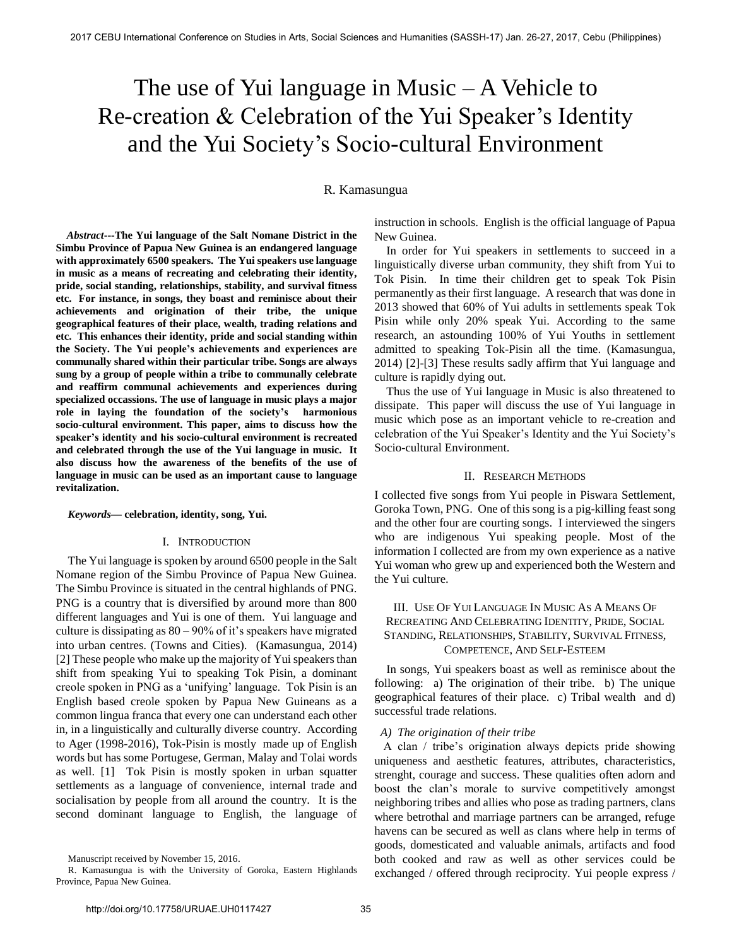# The use of Yui language in Music – A Vehicle to Re-creation & Celebration of the Yui Speaker's Identity and the Yui Society's Socio-cultural Environment

### R. Kamasungua

 *Abstract***---The Yui language of the Salt Nomane District in the Simbu Province of Papua New Guinea is an endangered language with approximately 6500 speakers. The Yui speakers use language in music as a means of recreating and celebrating their identity, pride, social standing, relationships, stability, and survival fitness etc. For instance, in songs, they boast and reminisce about their achievements and origination of their tribe, the unique geographical features of their place, wealth, trading relations and etc. This enhances their identity, pride and social standing within the Society. The Yui people's achievements and experiences are communally shared within their particular tribe. Songs are always sung by a group of people within a tribe to communally celebrate and reaffirm communal achievements and experiences during specialized occassions. The use of language in music plays a major role in laying the foundation of the society's harmonious socio-cultural environment. This paper, aims to discuss how the speaker's identity and his socio-cultural environment is recreated and celebrated through the use of the Yui language in music. It also discuss how the awareness of the benefits of the use of language in music can be used as an important cause to language revitalization.**

#### *Keywords***— celebration, identity, song, Yui.**

#### I. INTRODUCTION

The Yui language is spoken by around 6500 people in the Salt Nomane region of the Simbu Province of Papua New Guinea. The Simbu Province is situated in the central highlands of PNG. PNG is a country that is diversified by around more than 800 different languages and Yui is one of them. Yui language and culture is dissipating as 80 – 90% of it's speakers have migrated into urban centres. (Towns and Cities). (Kamasungua, 2014) [2] These people who make up the majority of Yui speakers than shift from speaking Yui to speaking Tok Pisin, a dominant creole spoken in PNG as a 'unifying' language. Tok Pisin is an English based creole spoken by Papua New Guineans as a common lingua franca that every one can understand each other in, in a linguistically and culturally diverse country. According to Ager (1998-2016), Tok-Pisin is mostly made up of English words but has some Portugese, German, Malay and Tolai words as well. [1] Tok Pisin is mostly spoken in urban squatter settlements as a language of convenience, internal trade and socialisation by people from all around the country. It is the second dominant language to English, the language of instruction in schools. English is the official language of Papua New Guinea.

In order for Yui speakers in settlements to succeed in a linguistically diverse urban community, they shift from Yui to Tok Pisin. In time their children get to speak Tok Pisin permanently as their first language. A research that was done in 2013 showed that 60% of Yui adults in settlements speak Tok Pisin while only 20% speak Yui. According to the same research, an astounding 100% of Yui Youths in settlement admitted to speaking Tok-Pisin all the time. (Kamasungua, 2014) [2]-[3] These results sadly affirm that Yui language and culture is rapidly dying out.

Thus the use of Yui language in Music is also threatened to dissipate. This paper will discuss the use of Yui language in music which pose as an important vehicle to re-creation and celebration of the Yui Speaker's Identity and the Yui Society's Socio-cultural Environment.

#### II. RESEARCH METHODS

I collected five songs from Yui people in Piswara Settlement, Goroka Town, PNG. One of this song is a pig-killing feast song and the other four are courting songs. I interviewed the singers who are indigenous Yui speaking people. Most of the information I collected are from my own experience as a native Yui woman who grew up and experienced both the Western and the Yui culture.

## III. USE OF YUI LANGUAGE IN MUSIC AS A MEANS OF RECREATING AND CELEBRATING IDENTITY, PRIDE, SOCIAL STANDING, RELATIONSHIPS, STABILITY, SURVIVAL FITNESS, COMPETENCE, AND SELF-ESTEEM

In songs, Yui speakers boast as well as reminisce about the following: a) The origination of their tribe. b) The unique geographical features of their place. c) Tribal wealth and d) successful trade relations.

#### *A) The origination of their tribe*

 A clan / tribe's origination always depicts pride showing uniqueness and aesthetic features, attributes, characteristics, strenght, courage and success. These qualities often adorn and boost the clan's morale to survive competitively amongst neighboring tribes and allies who pose as trading partners, clans where betrothal and marriage partners can be arranged, refuge havens can be secured as well as clans where help in terms of goods, domesticated and valuable animals, artifacts and food both cooked and raw as well as other services could be exchanged / offered through reciprocity. Yui people express /

Manuscript received by November 15, 2016.

R. Kamasungua is with the University of Goroka, Eastern Highlands Province, Papua New Guinea.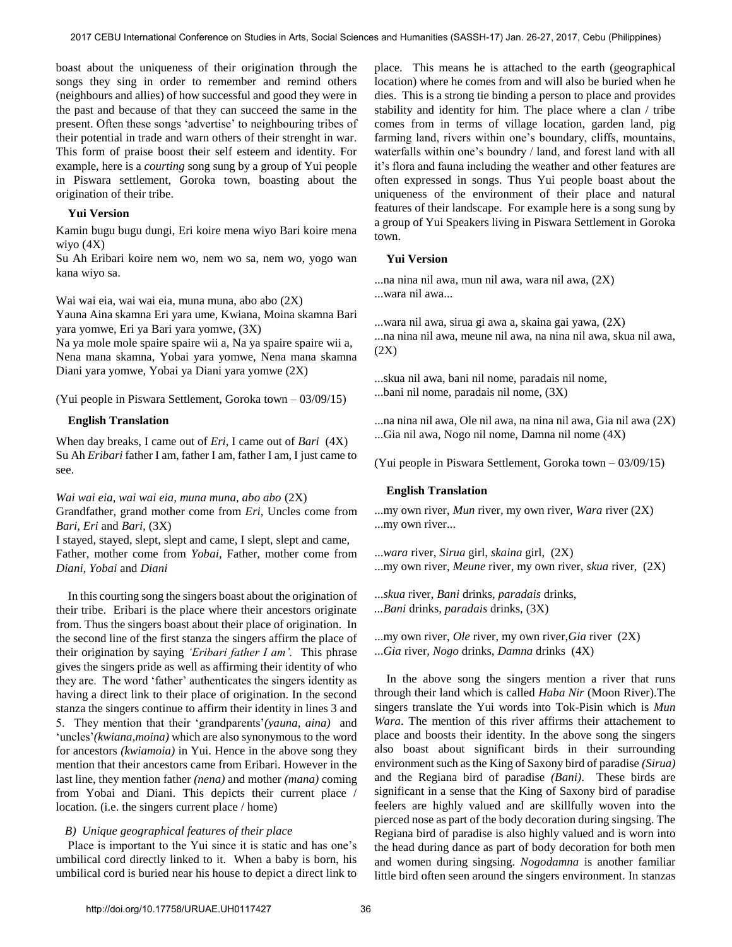boast about the uniqueness of their origination through the songs they sing in order to remember and remind others (neighbours and allies) of how successful and good they were in the past and because of that they can succeed the same in the present. Often these songs 'advertise' to neighbouring tribes of their potential in trade and warn others of their strenght in war. This form of praise boost their self esteem and identity. For example, here is a *courting* song sung by a group of Yui people in Piswara settlement, Goroka town, boasting about the origination of their tribe.

#### **Yui Version**

Kamin bugu bugu dungi, Eri koire mena wiyo Bari koire mena wiyo (4X)

Su Ah Eribari koire nem wo, nem wo sa, nem wo, yogo wan kana wiyo sa.

Wai wai eia, wai wai eia, muna muna, abo abo (2X)

Yauna Aina skamna Eri yara ume, Kwiana, Moina skamna Bari yara yomwe, Eri ya Bari yara yomwe, (3X)

Na ya mole mole spaire spaire wii a, Na ya spaire spaire wii a, Nena mana skamna, Yobai yara yomwe, Nena mana skamna Diani yara yomwe, Yobai ya Diani yara yomwe (2X)

(Yui people in Piswara Settlement, Goroka town – 03/09/15)

## **English Translation**

When day breaks, I came out of *Eri*, I came out of *Bari* (4X) Su Ah *Eribari* father I am, father I am, father I am, I just came to see.

*Wai wai eia, wai wai eia, muna muna, abo abo* (2X)

Grandfather, grand mother come from *Eri*, Uncles come from *Bari, Eri* and *Bari*, (3X)

I stayed, stayed, slept, slept and came, I slept, slept and came, Father, mother come from *Yobai*, Father, mother come from *Diani, Yobai* and *Diani* 

In this courting song the singers boast about the origination of their tribe. Eribari is the place where their ancestors originate from. Thus the singers boast about their place of origination. In the second line of the first stanza the singers affirm the place of their origination by saying *'Eribari father I am'.* This phrase gives the singers pride as well as affirming their identity of who they are. The word 'father' authenticates the singers identity as having a direct link to their place of origination. In the second stanza the singers continue to affirm their identity in lines 3 and 5. They mention that their 'grandparents'*(yauna, aina)* and 'uncles'*(kwiana,moina)* which are also synonymous to the word for ancestors *(kwiamoia)* in Yui. Hence in the above song they mention that their ancestors came from Eribari. However in the last line, they mention father *(nena)* and mother *(mana)* coming from Yobai and Diani. This depicts their current place / location. (i.e. the singers current place / home)

#### *B) Unique geographical features of their place*

 Place is important to the Yui since it is static and has one's umbilical cord directly linked to it. When a baby is born, his umbilical cord is buried near his house to depict a direct link to place. This means he is attached to the earth (geographical location) where he comes from and will also be buried when he dies. This is a strong tie binding a person to place and provides stability and identity for him. The place where a clan / tribe comes from in terms of village location, garden land, pig farming land, rivers within one's boundary, cliffs, mountains, waterfalls within one's boundry / land, and forest land with all it's flora and fauna including the weather and other features are often expressed in songs. Thus Yui people boast about the uniqueness of the environment of their place and natural features of their landscape. For example here is a song sung by a group of Yui Speakers living in Piswara Settlement in Goroka town.

#### **Yui Version**

...na nina nil awa, mun nil awa, wara nil awa, (2X) ...wara nil awa...

...wara nil awa, sirua gi awa a, skaina gai yawa, (2X) ...na nina nil awa, meune nil awa, na nina nil awa, skua nil awa, (2X)

...skua nil awa, bani nil nome, paradais nil nome, ...bani nil nome, paradais nil nome, (3X)

...na nina nil awa, Ole nil awa, na nina nil awa, Gia nil awa (2X) ...Gia nil awa, Nogo nil nome, Damna nil nome (4X)

(Yui people in Piswara Settlement, Goroka town – 03/09/15)

## **English Translation**

...my own river, *Mun* river, my own river, *Wara* river (2X) ...my own river...

...*wara* river, *Sirua* girl, *skaina* girl, (2X) ...my own river, *Meune* river, my own river, *skua* river, (2X)

...*skua* river, *Bani* drinks, *paradais* drinks,

*...Bani* drinks*, paradais* drinks*,* (3X)

...my own river, *Ole* river, my own river,*Gia* river (2X) ...*Gia* river, *Nogo* drinks, *Damna* drinks (4X)

In the above song the singers mention a river that runs through their land which is called *Haba Nir* (Moon River).The singers translate the Yui words into Tok-Pisin which is *Mun Wara*. The mention of this river affirms their attachement to place and boosts their identity. In the above song the singers also boast about significant birds in their surrounding environment such as the King of Saxony bird of paradise *(Sirua)* and the Regiana bird of paradise *(Bani)*. These birds are significant in a sense that the King of Saxony bird of paradise feelers are highly valued and are skillfully woven into the pierced nose as part of the body decoration during singsing. The Regiana bird of paradise is also highly valued and is worn into the head during dance as part of body decoration for both men and women during singsing. *Nogodamna* is another familiar little bird often seen around the singers environment. In stanzas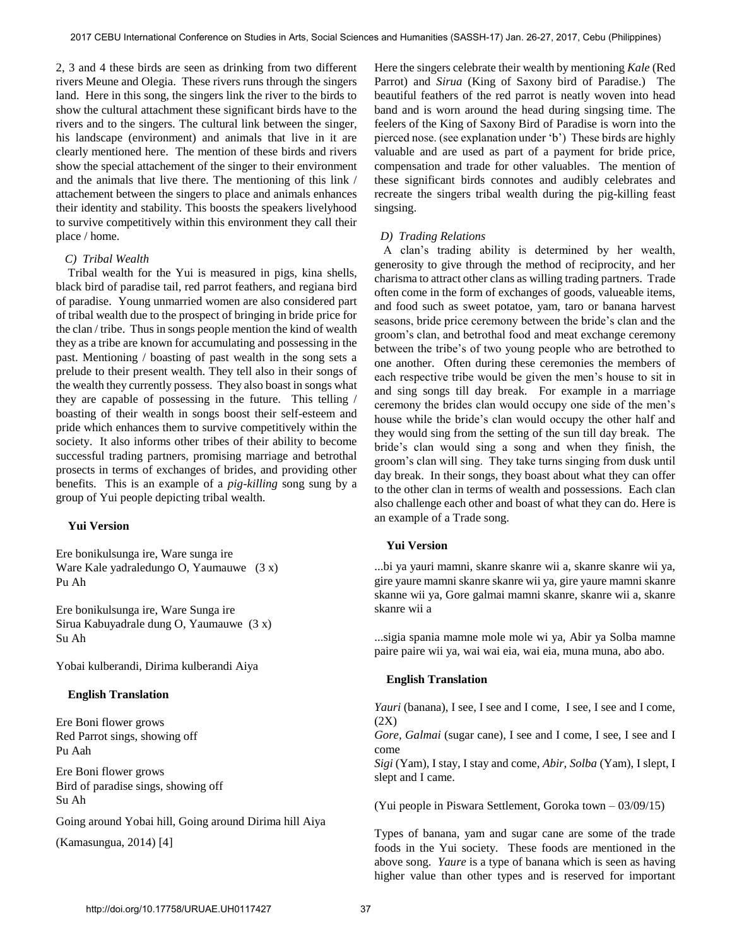2, 3 and 4 these birds are seen as drinking from two different rivers Meune and Olegia. These rivers runs through the singers land. Here in this song, the singers link the river to the birds to show the cultural attachment these significant birds have to the rivers and to the singers. The cultural link between the singer, his landscape (environment) and animals that live in it are clearly mentioned here. The mention of these birds and rivers show the special attachement of the singer to their environment and the animals that live there. The mentioning of this link / attachement between the singers to place and animals enhances their identity and stability. This boosts the speakers livelyhood to survive competitively within this environment they call their place / home.

## *C) Tribal Wealth*

 Tribal wealth for the Yui is measured in pigs, kina shells, black bird of paradise tail, red parrot feathers, and regiana bird of paradise. Young unmarried women are also considered part of tribal wealth due to the prospect of bringing in bride price for the clan / tribe. Thus in songs people mention the kind of wealth they as a tribe are known for accumulating and possessing in the past. Mentioning / boasting of past wealth in the song sets a prelude to their present wealth. They tell also in their songs of the wealth they currently possess. They also boast in songs what they are capable of possessing in the future. This telling / boasting of their wealth in songs boost their self-esteem and pride which enhances them to survive competitively within the society. It also informs other tribes of their ability to become successful trading partners, promising marriage and betrothal prosects in terms of exchanges of brides, and providing other benefits. This is an example of a *pig-killing* song sung by a group of Yui people depicting tribal wealth.

### **Yui Version**

Ere bonikulsunga ire, Ware sunga ire Ware Kale yadraledungo O, Yaumauwe (3 x) Pu Ah

Ere bonikulsunga ire, Ware Sunga ire Sirua Kabuyadrale dung O, Yaumauwe (3 x) Su Ah

Yobai kulberandi, Dirima kulberandi Aiya

## **English Translation**

Ere Boni flower grows Red Parrot sings, showing off Pu Aah

Ere Boni flower grows Bird of paradise sings, showing off Su Ah

Going around Yobai hill, Going around Dirima hill Aiya

(Kamasungua, 2014) [4]

Here the singers celebrate their wealth by mentioning *Kale* (Red Parrot) and *Sirua* (King of Saxony bird of Paradise.) The beautiful feathers of the red parrot is neatly woven into head band and is worn around the head during singsing time. The feelers of the King of Saxony Bird of Paradise is worn into the pierced nose. (see explanation under 'b') These birds are highly valuable and are used as part of a payment for bride price, compensation and trade for other valuables. The mention of these significant birds connotes and audibly celebrates and recreate the singers tribal wealth during the pig-killing feast singsing.

## *D) Trading Relations*

 A clan's trading ability is determined by her wealth, generosity to give through the method of reciprocity, and her charisma to attract other clans as willing trading partners. Trade often come in the form of exchanges of goods, valueable items, and food such as sweet potatoe, yam, taro or banana harvest seasons, bride price ceremony between the bride's clan and the groom's clan, and betrothal food and meat exchange ceremony between the tribe's of two young people who are betrothed to one another. Often during these ceremonies the members of each respective tribe would be given the men's house to sit in and sing songs till day break. For example in a marriage ceremony the brides clan would occupy one side of the men's house while the bride's clan would occupy the other half and they would sing from the setting of the sun till day break. The bride's clan would sing a song and when they finish, the groom's clan will sing. They take turns singing from dusk until day break. In their songs, they boast about what they can offer to the other clan in terms of wealth and possessions. Each clan also challenge each other and boast of what they can do. Here is an example of a Trade song.

## **Yui Version**

...bi ya yauri mamni, skanre skanre wii a, skanre skanre wii ya, gire yaure mamni skanre skanre wii ya, gire yaure mamni skanre skanne wii ya, Gore galmai mamni skanre, skanre wii a, skanre skanre wii a

...sigia spania mamne mole mole wi ya, Abir ya Solba mamne paire paire wii ya, wai wai eia, wai eia, muna muna, abo abo.

#### **English Translation**

*Yauri* (banana), I see, I see and I come, I see, I see and I come, (2X)

*Gore, Galmai* (sugar cane), I see and I come, I see, I see and I come

*Sigi* (Yam), I stay, I stay and come, *Abir, Solba* (Yam), I slept, I slept and I came.

(Yui people in Piswara Settlement, Goroka town – 03/09/15)

Types of banana, yam and sugar cane are some of the trade foods in the Yui society. These foods are mentioned in the above song. *Yaure* is a type of banana which is seen as having higher value than other types and is reserved for important